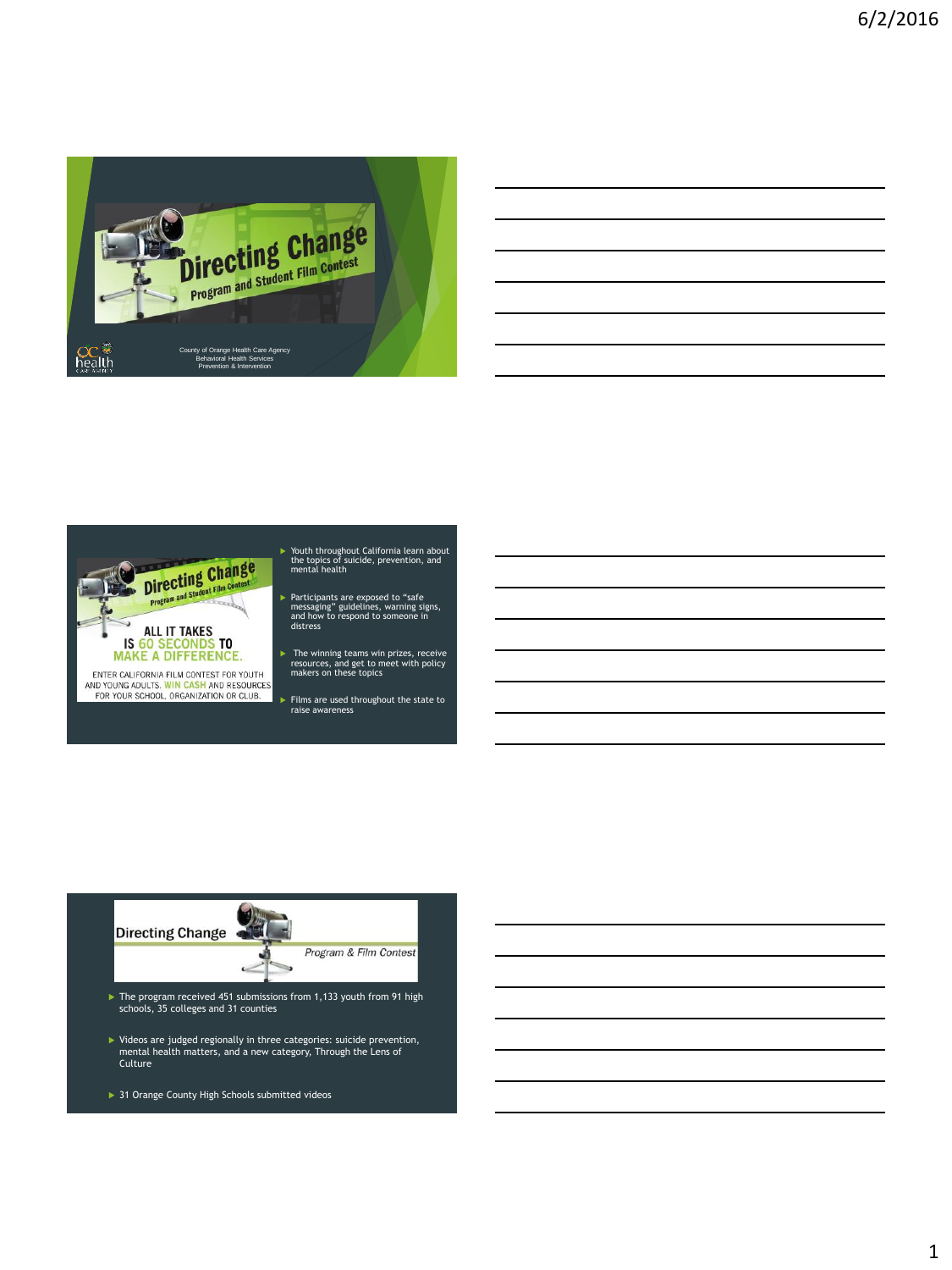

| it California learn about |  |  |  |
|---------------------------|--|--|--|
| cide, prevention, and     |  |  |  |
| exposed to "safe          |  |  |  |
| lelines, warning signs,   |  |  |  |



ENTER CALIFORNIA FILM CONTEST FOR YOUTH AND YOUNG ADULTS. WIN CASH AND RESOURCES<br>FOR YOUR SCHOOL, ORGANIZATION OR CLUB.

- Youth throughout California learn about the topics of suicide, prevention, and mental health
- Participants are exposed to "safe messaging" guidelines, warning signs, and how to respond to someone in distress
- The winning teams win prizes, receive resources, and get to meet with policy makers on these topics
- Films are used throughout the state to raise awareness



- ► Videos are judged regionally in three categories: suicide prevention,<br>mental health matters, and a new category, Through the Lens of<br>Culture
- ▶ 31 Orange County High Schools submitted videos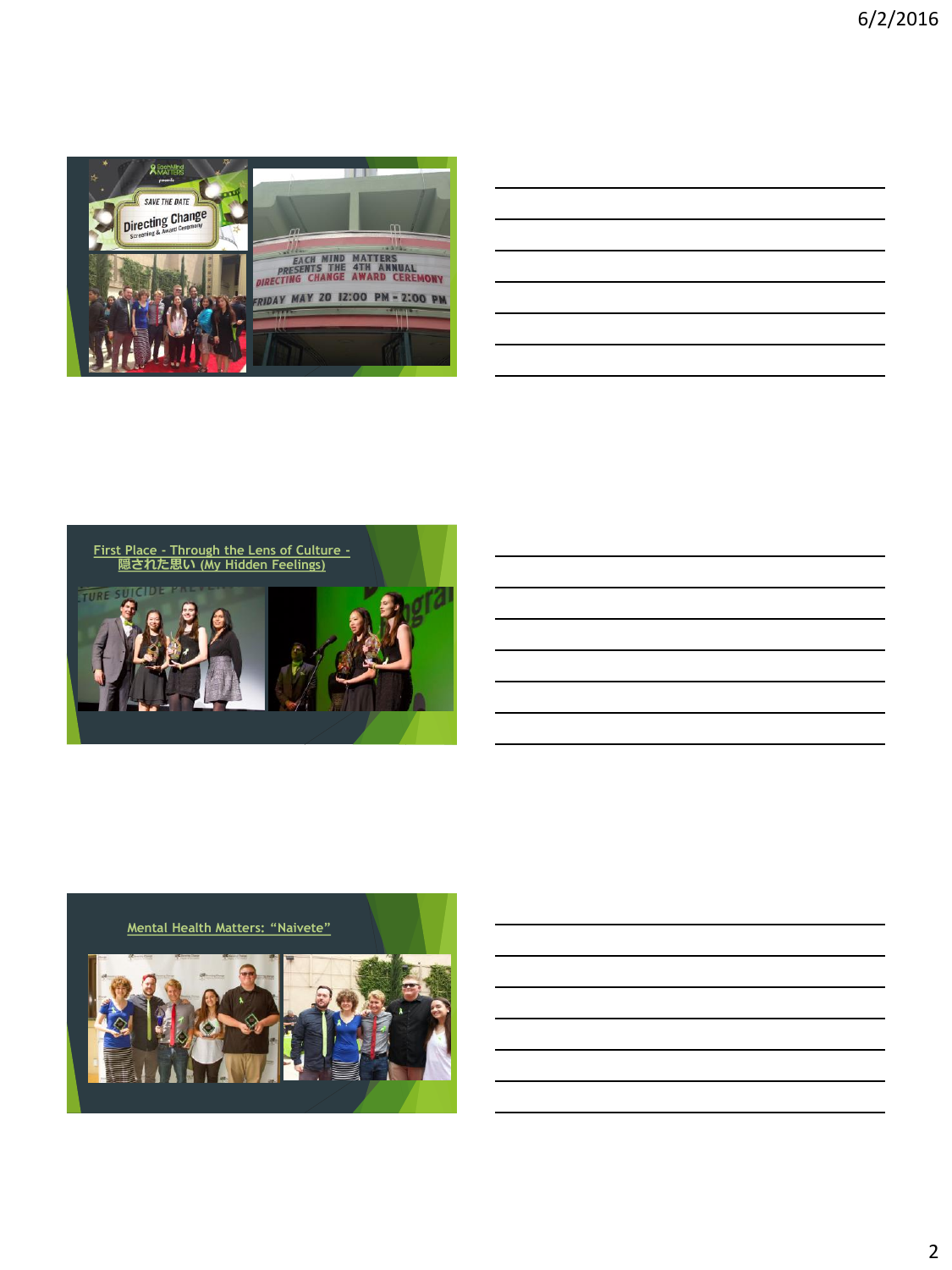